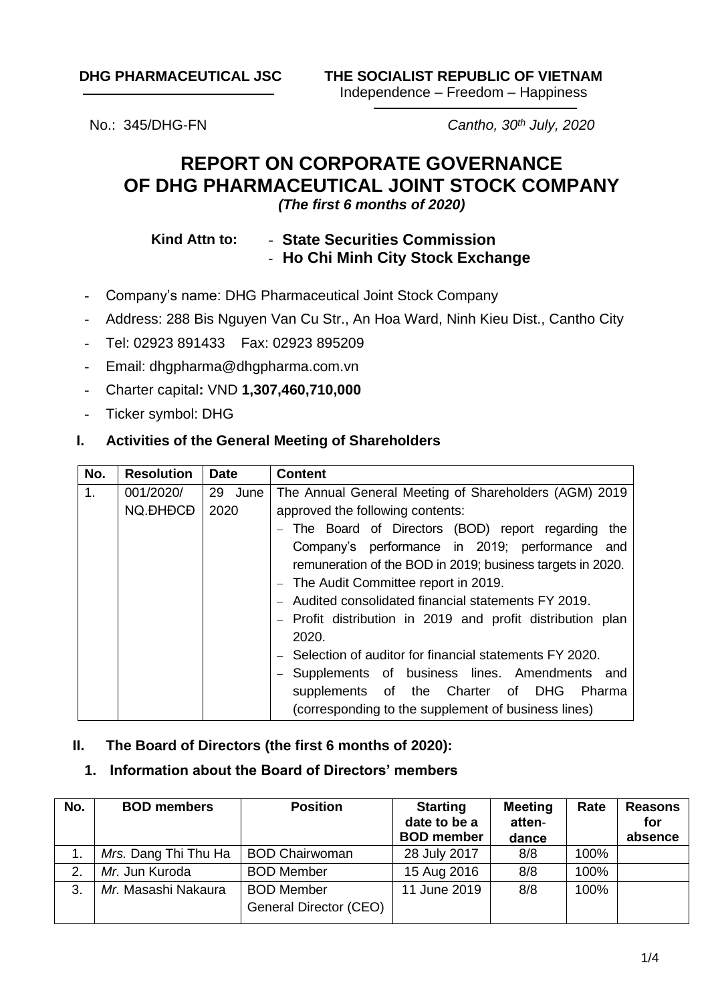No.: 345/DHG-FN *Cantho, 30th July, 2020*

# **REPORT ON CORPORATE GOVERNANCE OF DHG PHARMACEUTICAL JOINT STOCK COMPANY** *(The first 6 months of 2020)*

#### **Kind Attn to:** - **State Securities Commission** - **Ho Chi Minh City Stock Exchange**

- Company's name: DHG Pharmaceutical Joint Stock Company
- Address: 288 Bis Nguyen Van Cu Str., An Hoa Ward, Ninh Kieu Dist., Cantho City
- Tel: 02923 891433 Fax: 02923 895209
- Email: dhgpharma@dhgpharma.com.vn
- Charter capital**:** VND **1,307,460,710,000**
- Ticker symbol: DHG

#### **I. Activities of the General Meeting of Shareholders**

| No. | <b>Resolution</b> | <b>Date</b> | <b>Content</b>                                             |  |  |  |  |  |  |  |
|-----|-------------------|-------------|------------------------------------------------------------|--|--|--|--|--|--|--|
| 1.  | 001/2020/         | 29 June     | The Annual General Meeting of Shareholders (AGM) 2019      |  |  |  |  |  |  |  |
|     | NQ.ĐHĐCĐ          | 2020        | approved the following contents:                           |  |  |  |  |  |  |  |
|     |                   |             | - The Board of Directors (BOD) report regarding<br>the     |  |  |  |  |  |  |  |
|     |                   |             | Company's performance in 2019; performance and             |  |  |  |  |  |  |  |
|     |                   |             | remuneration of the BOD in 2019; business targets in 2020. |  |  |  |  |  |  |  |
|     |                   |             | - The Audit Committee report in 2019.                      |  |  |  |  |  |  |  |
|     |                   |             | - Audited consolidated financial statements FY 2019.       |  |  |  |  |  |  |  |
|     |                   |             | - Profit distribution in 2019 and profit distribution plan |  |  |  |  |  |  |  |
|     |                   |             | 2020.                                                      |  |  |  |  |  |  |  |
|     |                   |             | Selection of auditor for financial statements FY 2020.     |  |  |  |  |  |  |  |
|     |                   |             | - Supplements of business lines. Amendments and            |  |  |  |  |  |  |  |
|     |                   |             | supplements of the Charter of DHG Pharma                   |  |  |  |  |  |  |  |
|     |                   |             | (corresponding to the supplement of business lines)        |  |  |  |  |  |  |  |

#### **II. The Board of Directors (the first 6 months of 2020):**

### **1. Information about the Board of Directors' members**

| No. | <b>BOD</b> members   | <b>Position</b>        | <b>Starting</b><br>date to be a<br><b>BOD</b> member | <b>Meeting</b><br>atten-<br>dance | Rate | <b>Reasons</b><br>for<br>absence |
|-----|----------------------|------------------------|------------------------------------------------------|-----------------------------------|------|----------------------------------|
|     | Mrs. Dang Thi Thu Ha | <b>BOD Chairwoman</b>  | 28 July 2017                                         | 8/8                               | 100% |                                  |
| 2.  | Mr. Jun Kuroda       | <b>BOD Member</b>      | 15 Aug 2016                                          | 8/8                               | 100% |                                  |
| 3.  | Mr. Masashi Nakaura  | <b>BOD Member</b>      | 11 June 2019                                         | 8/8                               | 100% |                                  |
|     |                      | General Director (CEO) |                                                      |                                   |      |                                  |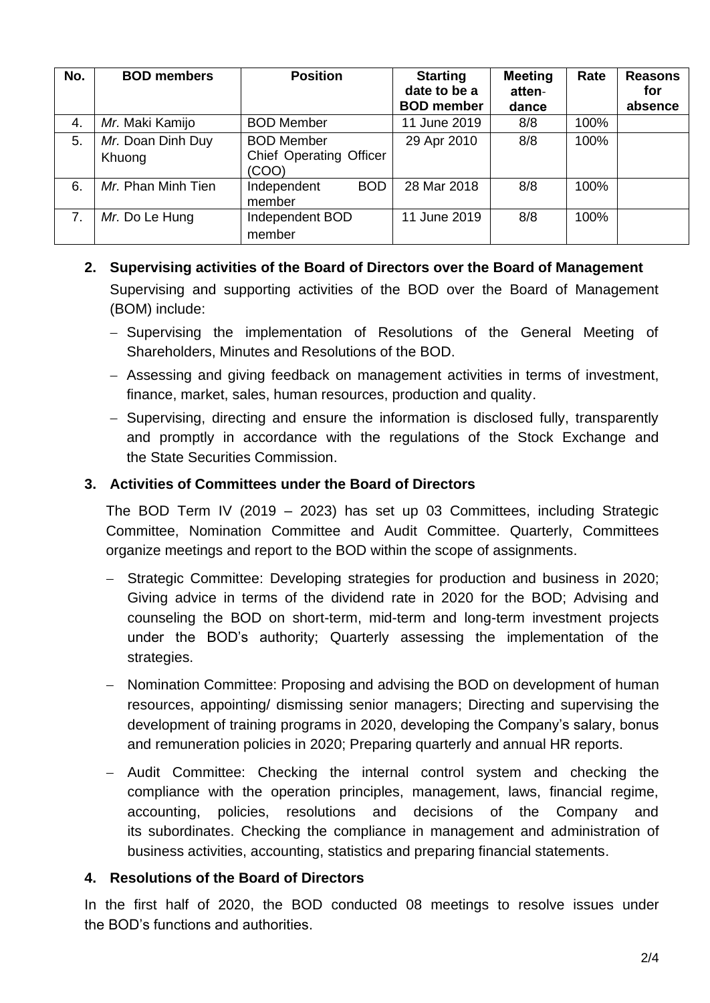| No. | <b>BOD members</b>          | <b>Position</b>                                              | <b>Starting</b><br>date to be a<br><b>BOD</b> member | <b>Meeting</b><br>atten-<br>dance | Rate | <b>Reasons</b><br>for<br>absence |
|-----|-----------------------------|--------------------------------------------------------------|------------------------------------------------------|-----------------------------------|------|----------------------------------|
| 4.  | Mr. Maki Kamijo             | <b>BOD Member</b>                                            | 11 June 2019                                         | 8/8                               | 100% |                                  |
| 5.  | Mr. Doan Dinh Duy<br>Khuong | <b>BOD Member</b><br><b>Chief Operating Officer</b><br>(COO) | 29 Apr 2010                                          | 8/8                               | 100% |                                  |
| 6.  | Mr. Phan Minh Tien          | <b>BOD</b><br>Independent<br>member                          | 28 Mar 2018                                          | 8/8                               | 100% |                                  |
| 7.  | Mr. Do Le Hung              | Independent BOD<br>member                                    | 11 June 2019                                         | 8/8                               | 100% |                                  |

## **2. Supervising activities of the Board of Directors over the Board of Management** Supervising and supporting activities of the BOD over the Board of Management (BOM) include:

- − Supervising the implementation of Resolutions of the General Meeting of Shareholders, Minutes and Resolutions of the BOD.
- − Assessing and giving feedback on management activities in terms of investment, finance, market, sales, human resources, production and quality.
- − Supervising, directing and ensure the information is disclosed fully, transparently and promptly in accordance with the regulations of the Stock Exchange and the State Securities Commission.

### **3. Activities of Committees under the Board of Directors**

The BOD Term IV (2019 – 2023) has set up 03 Committees, including Strategic Committee, Nomination Committee and Audit Committee. Quarterly, Committees organize meetings and report to the BOD within the scope of assignments.

- − Strategic Committee: Developing strategies for production and business in 2020; Giving advice in terms of the dividend rate in 2020 for the BOD; Advising and counseling the BOD on short-term, mid-term and long-term investment projects under the BOD's authority; Quarterly assessing the implementation of the strategies.
- − Nomination Committee: Proposing and advising the BOD on development of human resources, appointing/ dismissing senior managers; Directing and supervising the development of training programs in 2020, developing the Company's salary, bonus and remuneration policies in 2020; Preparing quarterly and annual HR reports.
- − Audit Committee: Checking the internal control system and checking the compliance with the operation principles, management, laws, financial regime, accounting, policies, resolutions and decisions of the Company and its subordinates. Checking the compliance in management and administration of business activities, accounting, statistics and preparing financial statements.

### **4. Resolutions of the Board of Directors**

In the first half of 2020, the BOD conducted 08 meetings to resolve issues under the BOD's functions and authorities.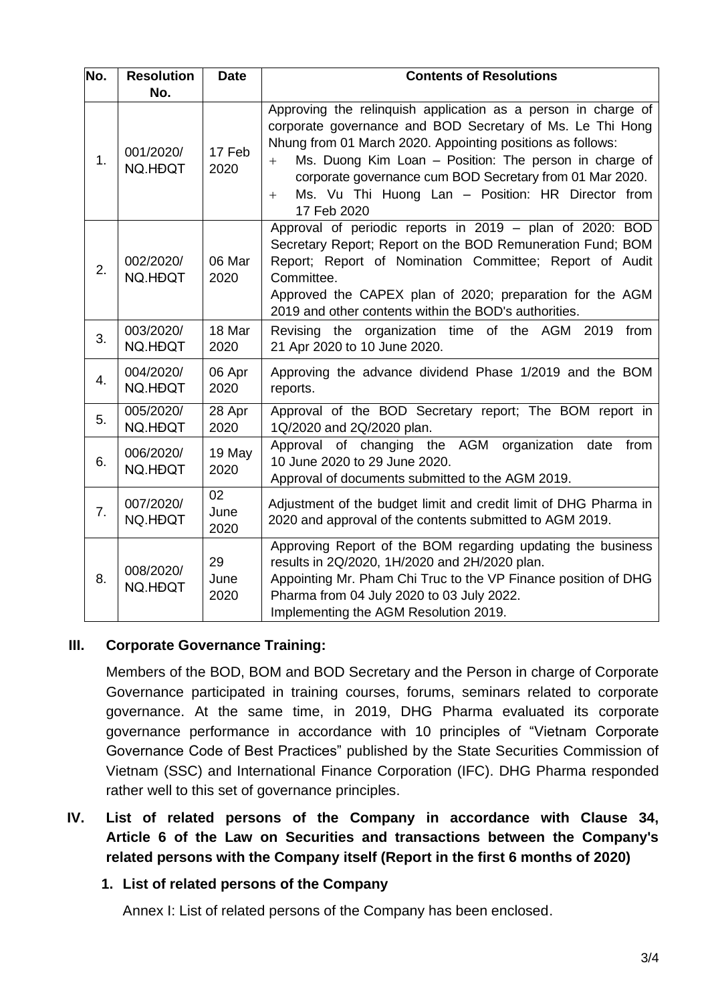| No. | <b>Resolution</b><br>No. | <b>Date</b>        | <b>Contents of Resolutions</b>                                                                                                                                                                                                                                                                                                                                                                      |
|-----|--------------------------|--------------------|-----------------------------------------------------------------------------------------------------------------------------------------------------------------------------------------------------------------------------------------------------------------------------------------------------------------------------------------------------------------------------------------------------|
| 1.  | 001/2020/<br>NQ.HĐQT     | 17 Feb<br>2020     | Approving the relinquish application as a person in charge of<br>corporate governance and BOD Secretary of Ms. Le Thi Hong<br>Nhung from 01 March 2020. Appointing positions as follows:<br>Ms. Duong Kim Loan - Position: The person in charge of<br>$+$<br>corporate governance cum BOD Secretary from 01 Mar 2020.<br>Ms. Vu Thi Huong Lan - Position: HR Director from<br>$^{+}$<br>17 Feb 2020 |
| 2.  | 002/2020/<br>NQ.HĐQT     | 06 Mar<br>2020     | Approval of periodic reports in 2019 - plan of 2020: BOD<br>Secretary Report; Report on the BOD Remuneration Fund; BOM<br>Report; Report of Nomination Committee; Report of Audit<br>Committee.<br>Approved the CAPEX plan of 2020; preparation for the AGM<br>2019 and other contents within the BOD's authorities.                                                                                |
| 3.  | 003/2020/<br>NQ.HĐQT     | 18 Mar<br>2020     | Revising the organization time of the AGM 2019<br>from<br>21 Apr 2020 to 10 June 2020.                                                                                                                                                                                                                                                                                                              |
| 4.  | 004/2020/<br>NQ.HĐQT     | 06 Apr<br>2020     | Approving the advance dividend Phase 1/2019 and the BOM<br>reports.                                                                                                                                                                                                                                                                                                                                 |
| 5.  | 005/2020/<br>NQ.HĐQT     | 28 Apr<br>2020     | Approval of the BOD Secretary report; The BOM report in<br>1Q/2020 and 2Q/2020 plan.                                                                                                                                                                                                                                                                                                                |
| 6.  | 006/2020/<br>NQ.HĐQT     | 19 May<br>2020     | Approval<br>of changing the AGM organization<br>date<br>from<br>10 June 2020 to 29 June 2020.<br>Approval of documents submitted to the AGM 2019.                                                                                                                                                                                                                                                   |
| 7.  | 007/2020/<br>NQ.HĐQT     | 02<br>June<br>2020 | Adjustment of the budget limit and credit limit of DHG Pharma in<br>2020 and approval of the contents submitted to AGM 2019.                                                                                                                                                                                                                                                                        |
| 8.  | 008/2020/<br>NQ.HĐQT     | 29<br>June<br>2020 | Approving Report of the BOM regarding updating the business<br>results in 2Q/2020, 1H/2020 and 2H/2020 plan.<br>Appointing Mr. Pham Chi Truc to the VP Finance position of DHG<br>Pharma from 04 July 2020 to 03 July 2022.<br>Implementing the AGM Resolution 2019.                                                                                                                                |

## **III. Corporate Governance Training:**

Members of the BOD, BOM and BOD Secretary and the Person in charge of Corporate Governance participated in training courses, forums, seminars related to corporate governance. At the same time, in 2019, DHG Pharma evaluated its corporate governance performance in accordance with 10 principles of "Vietnam Corporate Governance Code of Best Practices" published by the State Securities Commission of Vietnam (SSC) and International Finance Corporation (IFC). DHG Pharma responded rather well to this set of governance principles.

**IV. List of related persons of the Company in accordance with Clause 34, Article 6 of the Law on Securities and transactions between the Company's related persons with the Company itself (Report in the first 6 months of 2020)**

### **1. List of related persons of the Company**

Annex I: List of related persons of the Company has been enclosed.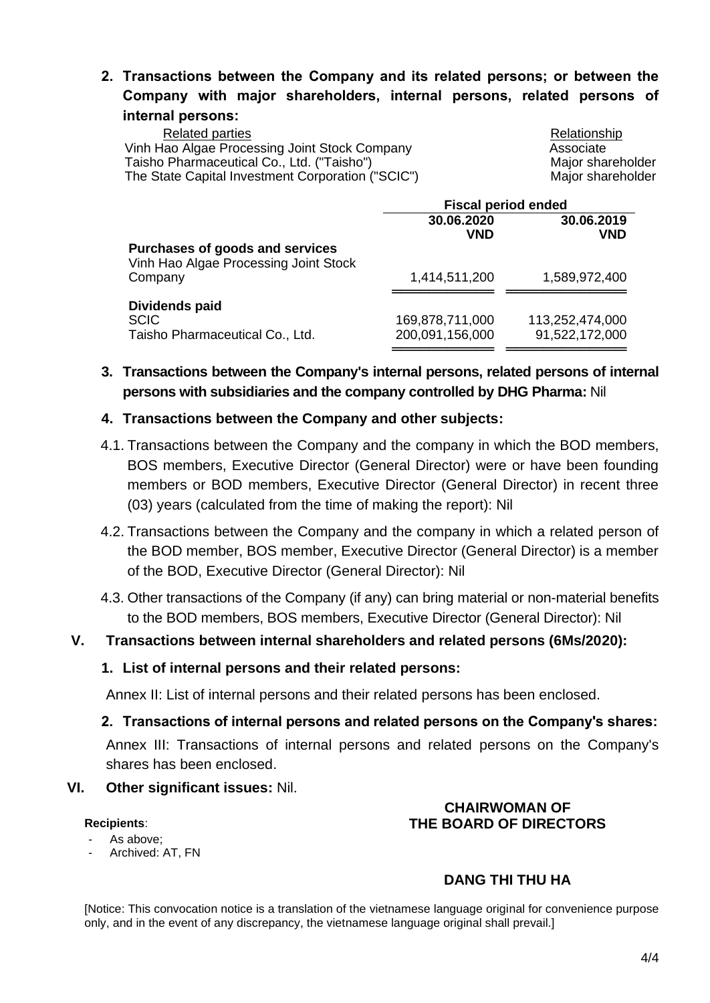## **2. Transactions between the Company and its related persons; or between the Company with major shareholders, internal persons, related persons of internal persons:**

| Related parties<br>Vinh Hao Algae Processing Joint Stock Company | Relationship<br>Associate |
|------------------------------------------------------------------|---------------------------|
| Taisho Pharmaceutical Co., Ltd. ("Taisho")                       | Major shareholder         |
| The State Capital Investment Corporation ("SCIC")                | Major shareholder         |

|                                                                          | <b>Fiscal period ended</b>         |                                   |
|--------------------------------------------------------------------------|------------------------------------|-----------------------------------|
|                                                                          | 30.06.2020                         | 30.06.2019                        |
| Purchases of goods and services<br>Vinh Hao Algae Processing Joint Stock | <b>VND</b>                         | <b>VND</b>                        |
| Company                                                                  | 1,414,511,200                      | 1,589,972,400                     |
| Dividends paid<br><b>SCIC</b><br>Taisho Pharmaceutical Co., Ltd.         | 169,878,711,000<br>200,091,156,000 | 113,252,474,000<br>91,522,172,000 |

## **3. Transactions between the Company's internal persons, related persons of internal persons with subsidiaries and the company controlled by DHG Pharma:** Nil

### **4. Transactions between the Company and other subjects:**

- 4.1. Transactions between the Company and the company in which the BOD members, BOS members, Executive Director (General Director) were or have been founding members or BOD members, Executive Director (General Director) in recent three (03) years (calculated from the time of making the report): Nil
- 4.2. Transactions between the Company and the company in which a related person of the BOD member, BOS member, Executive Director (General Director) is a member of the BOD, Executive Director (General Director): Nil
- 4.3. Other transactions of the Company (if any) can bring material or non-material benefits to the BOD members, BOS members, Executive Director (General Director): Nil

### **V. Transactions between internal shareholders and related persons (6Ms/2020):**

### **1. List of internal persons and their related persons:**

Annex II: List of internal persons and their related persons has been enclosed.

## **2. Transactions of internal persons and related persons on the Company's shares:**

Annex III: Transactions of internal persons and related persons on the Company's shares has been enclosed.

### **VI. Other significant issues:** Nil.

#### **Recipients**:

- As above;
- Archived: AT, FN

### **CHAIRWOMAN OF THE BOARD OF DIRECTORS**

## **DANG THI THU HA**

[Notice: This convocation notice is a translation of the vietnamese language original for convenience purpose only, and in the event of any discrepancy, the vietnamese language original shall prevail.]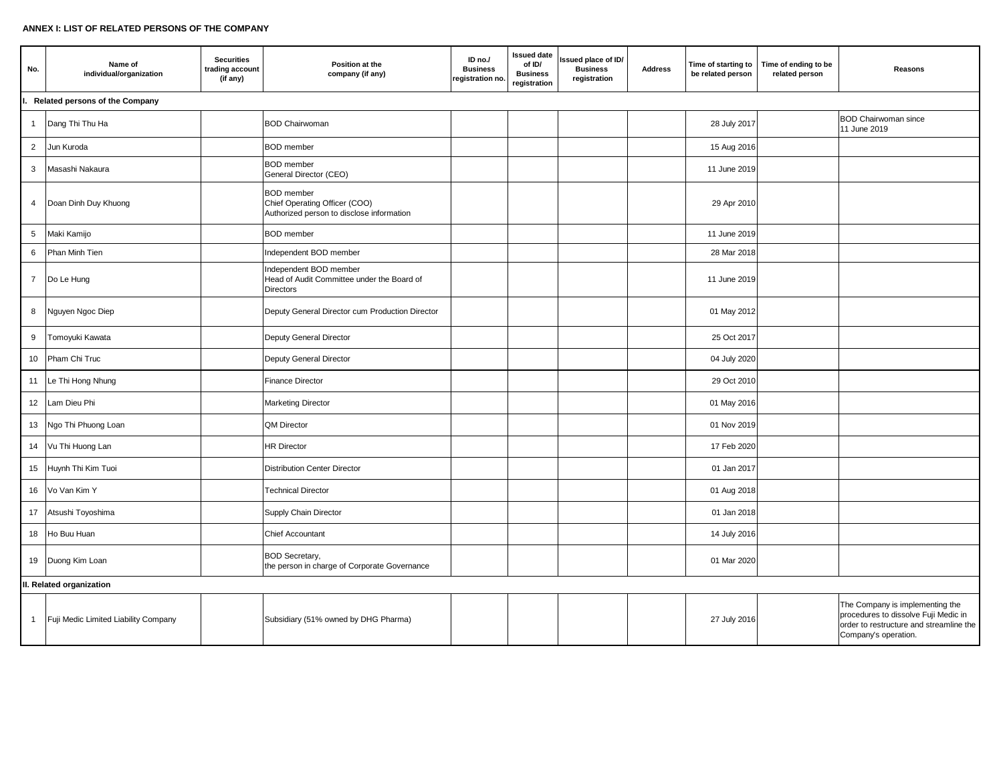#### **ANNEX I: LIST OF RELATED PERSONS OF THE COMPANY**

| No.             | Name of<br>individual/organization   | <b>Securities</b><br>trading account<br>(if any) | Position at the<br>company (if any)                                                             | ID no./<br><b>Business</b><br>registration no. | <b>Issued date</b><br>of ID/<br><b>Business</b><br>registration | Issued place of ID/<br><b>Business</b><br>registration | <b>Address</b> | Time of starting to<br>be related person | Time of ending to be<br>related person | Reasons                                                                                                                                    |  |
|-----------------|--------------------------------------|--------------------------------------------------|-------------------------------------------------------------------------------------------------|------------------------------------------------|-----------------------------------------------------------------|--------------------------------------------------------|----------------|------------------------------------------|----------------------------------------|--------------------------------------------------------------------------------------------------------------------------------------------|--|
|                 | Related persons of the Company       |                                                  |                                                                                                 |                                                |                                                                 |                                                        |                |                                          |                                        |                                                                                                                                            |  |
| $\mathbf{1}$    | Dang Thi Thu Ha                      |                                                  | <b>BOD Chairwoman</b>                                                                           |                                                |                                                                 |                                                        |                | 28 July 2017                             |                                        | <b>BOD Chairwoman since</b><br>11 June 2019                                                                                                |  |
| $\overline{2}$  | Jun Kuroda                           |                                                  | <b>BOD</b> member                                                                               |                                                |                                                                 |                                                        |                | 15 Aug 2016                              |                                        |                                                                                                                                            |  |
| $\mathbf{3}$    | Masashi Nakaura                      |                                                  | <b>BOD</b> member<br>General Director (CEO)                                                     |                                                |                                                                 |                                                        |                | 11 June 2019                             |                                        |                                                                                                                                            |  |
| 4               | Doan Dinh Duy Khuong                 |                                                  | <b>BOD</b> member<br>Chief Operating Officer (COO)<br>Authorized person to disclose information |                                                |                                                                 |                                                        |                | 29 Apr 2010                              |                                        |                                                                                                                                            |  |
| $5\phantom{.0}$ | Maki Kamijo                          |                                                  | <b>BOD</b> member                                                                               |                                                |                                                                 |                                                        |                | 11 June 2019                             |                                        |                                                                                                                                            |  |
| 6               | Phan Minh Tien                       |                                                  | Independent BOD member                                                                          |                                                |                                                                 |                                                        |                | 28 Mar 2018                              |                                        |                                                                                                                                            |  |
| $\overline{7}$  | Do Le Hung                           |                                                  | Independent BOD member<br>Head of Audit Committee under the Board of<br>Directors               |                                                |                                                                 |                                                        |                | 11 June 2019                             |                                        |                                                                                                                                            |  |
| 8               | Nguyen Ngoc Diep                     |                                                  | Deputy General Director cum Production Director                                                 |                                                |                                                                 |                                                        |                | 01 May 2012                              |                                        |                                                                                                                                            |  |
| 9               | Tomoyuki Kawata                      |                                                  | Deputy General Director                                                                         |                                                |                                                                 |                                                        |                | 25 Oct 2017                              |                                        |                                                                                                                                            |  |
| 10              | Pham Chi Truc                        |                                                  | Deputy General Director                                                                         |                                                |                                                                 |                                                        |                | 04 July 2020                             |                                        |                                                                                                                                            |  |
| 11              | Le Thi Hong Nhung                    |                                                  | Finance Director                                                                                |                                                |                                                                 |                                                        |                | 29 Oct 2010                              |                                        |                                                                                                                                            |  |
| 12              | Lam Dieu Phi                         |                                                  | <b>Marketing Director</b>                                                                       |                                                |                                                                 |                                                        |                | 01 May 2016                              |                                        |                                                                                                                                            |  |
| 13              | Ngo Thi Phuong Loan                  |                                                  | <b>QM Director</b>                                                                              |                                                |                                                                 |                                                        |                | 01 Nov 2019                              |                                        |                                                                                                                                            |  |
| 14              | Vu Thi Huong Lan                     |                                                  | <b>HR Director</b>                                                                              |                                                |                                                                 |                                                        |                | 17 Feb 2020                              |                                        |                                                                                                                                            |  |
| 15              | Huynh Thi Kim Tuoi                   |                                                  | <b>Distribution Center Director</b>                                                             |                                                |                                                                 |                                                        |                | 01 Jan 2017                              |                                        |                                                                                                                                            |  |
| 16              | Vo Van Kim Y                         |                                                  | <b>Technical Director</b>                                                                       |                                                |                                                                 |                                                        |                | 01 Aug 2018                              |                                        |                                                                                                                                            |  |
| 17              | Atsushi Toyoshima                    |                                                  | Supply Chain Director                                                                           |                                                |                                                                 |                                                        |                | 01 Jan 2018                              |                                        |                                                                                                                                            |  |
| 18              | Ho Buu Huan                          |                                                  | Chief Accountant                                                                                |                                                |                                                                 |                                                        |                | 14 July 2016                             |                                        |                                                                                                                                            |  |
|                 | 19 Duong Kim Loan                    |                                                  | <b>BOD Secretary,</b><br>the person in charge of Corporate Governance                           |                                                |                                                                 |                                                        |                | 01 Mar 2020                              |                                        |                                                                                                                                            |  |
|                 | II. Related organization             |                                                  |                                                                                                 |                                                |                                                                 |                                                        |                |                                          |                                        |                                                                                                                                            |  |
| $\mathbf{1}$    | Fuji Medic Limited Liability Company |                                                  | Subsidiary (51% owned by DHG Pharma)                                                            |                                                |                                                                 |                                                        |                | 27 July 2016                             |                                        | The Company is implementing the<br>procedures to dissolve Fuji Medic in<br>order to restructure and streamline the<br>Company's operation. |  |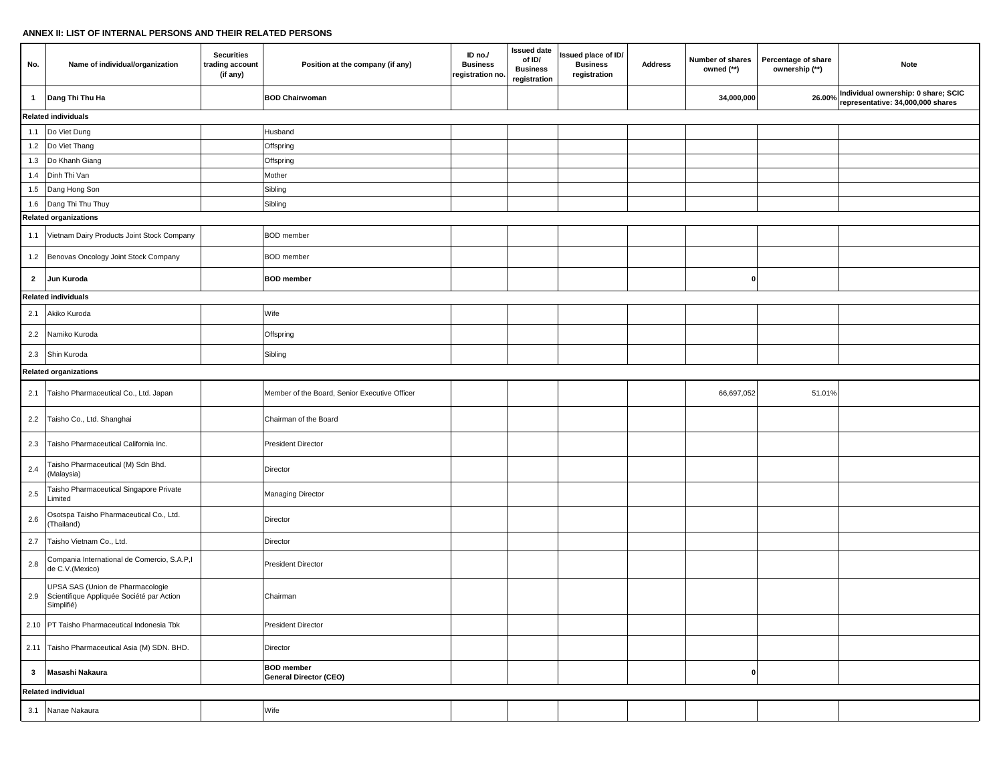#### **ANNEX II: LIST OF INTERNAL PERSONS AND THEIR RELATED PERSONS**

| No.            | Name of individual/organization                                                             | <b>Securities</b><br>trading account<br>(if any) | Position at the company (if any)                   | ID no./<br><b>Business</b><br>registration no. | <b>Issued date</b><br>of ID/<br><b>Business</b><br>registration | Issued place of ID/<br><b>Business</b><br>registration | <b>Address</b> | Number of shares<br>owned (**) | Percentage of share<br>ownership (**) | Note                                                                     |
|----------------|---------------------------------------------------------------------------------------------|--------------------------------------------------|----------------------------------------------------|------------------------------------------------|-----------------------------------------------------------------|--------------------------------------------------------|----------------|--------------------------------|---------------------------------------|--------------------------------------------------------------------------|
| $\mathbf{1}$   | Dang Thi Thu Ha                                                                             |                                                  | <b>BOD Chairwoman</b>                              |                                                |                                                                 |                                                        |                | 34,000,000                     | 26.00%                                | Individual ownership: 0 share; SCIC<br>representative: 34,000,000 shares |
|                | <b>Related individuals</b>                                                                  |                                                  |                                                    |                                                |                                                                 |                                                        |                |                                |                                       |                                                                          |
|                | 1.1 Do Viet Dung                                                                            |                                                  | Husband                                            |                                                |                                                                 |                                                        |                |                                |                                       |                                                                          |
|                | 1.2 Do Viet Thang                                                                           |                                                  | Offspring                                          |                                                |                                                                 |                                                        |                |                                |                                       |                                                                          |
| 1.3            | Do Khanh Giang                                                                              |                                                  | Offspring                                          |                                                |                                                                 |                                                        |                |                                |                                       |                                                                          |
| 1.4            | Dinh Thi Van                                                                                |                                                  | Mother                                             |                                                |                                                                 |                                                        |                |                                |                                       |                                                                          |
| 1.5            | Dang Hong Son                                                                               |                                                  | Sibling                                            |                                                |                                                                 |                                                        |                |                                |                                       |                                                                          |
|                | 1.6 Dang Thi Thu Thuy                                                                       |                                                  | Sibling                                            |                                                |                                                                 |                                                        |                |                                |                                       |                                                                          |
|                | <b>Related organizations</b>                                                                |                                                  |                                                    |                                                |                                                                 |                                                        |                |                                |                                       |                                                                          |
| 1.1            | Vietnam Dairy Products Joint Stock Company                                                  |                                                  | <b>BOD</b> member                                  |                                                |                                                                 |                                                        |                |                                |                                       |                                                                          |
|                | 1.2 Benovas Oncology Joint Stock Company                                                    |                                                  | <b>BOD</b> member                                  |                                                |                                                                 |                                                        |                |                                |                                       |                                                                          |
| $\overline{2}$ | Jun Kuroda                                                                                  |                                                  | <b>BOD</b> member                                  |                                                |                                                                 |                                                        |                | $\Omega$                       |                                       |                                                                          |
|                | <b>Related individuals</b>                                                                  |                                                  |                                                    |                                                |                                                                 |                                                        |                |                                |                                       |                                                                          |
| 2.1            | Akiko Kuroda                                                                                |                                                  | Wife                                               |                                                |                                                                 |                                                        |                |                                |                                       |                                                                          |
| 2.2            | Namiko Kuroda                                                                               |                                                  | Offspring                                          |                                                |                                                                 |                                                        |                |                                |                                       |                                                                          |
| 2.3            | Shin Kuroda                                                                                 |                                                  | Sibling                                            |                                                |                                                                 |                                                        |                |                                |                                       |                                                                          |
|                | <b>Related organizations</b>                                                                |                                                  |                                                    |                                                |                                                                 |                                                        |                |                                |                                       |                                                                          |
| 2.1            | Taisho Pharmaceutical Co., Ltd. Japan                                                       |                                                  | Member of the Board, Senior Executive Officer      |                                                |                                                                 |                                                        |                | 66,697,052                     | 51.01%                                |                                                                          |
| 2.2            | Taisho Co., Ltd. Shanghai                                                                   |                                                  | Chairman of the Board                              |                                                |                                                                 |                                                        |                |                                |                                       |                                                                          |
| 2.3            | Taisho Pharmaceutical California Inc.                                                       |                                                  | <b>President Director</b>                          |                                                |                                                                 |                                                        |                |                                |                                       |                                                                          |
| 2.4            | Taisho Pharmaceutical (M) Sdn Bhd.<br>(Malaysia)                                            |                                                  | Director                                           |                                                |                                                                 |                                                        |                |                                |                                       |                                                                          |
| $2.5\,$        | Taisho Pharmaceutical Singapore Private<br>Limited                                          |                                                  | Managing Director                                  |                                                |                                                                 |                                                        |                |                                |                                       |                                                                          |
| 2.6            | Osotspa Taisho Pharmaceutical Co., Ltd.<br>(Thailand)                                       |                                                  | Director                                           |                                                |                                                                 |                                                        |                |                                |                                       |                                                                          |
| 2.7            | Taisho Vietnam Co., Ltd.                                                                    |                                                  | Director                                           |                                                |                                                                 |                                                        |                |                                |                                       |                                                                          |
| 2.8            | Compania International de Comercio, S.A.P,I<br>de C.V.(Mexico)                              |                                                  | <b>President Director</b>                          |                                                |                                                                 |                                                        |                |                                |                                       |                                                                          |
| 2.9            | UPSA SAS (Union de Pharmacologie<br>Scientifique Appliquée Société par Action<br>Simplifié) |                                                  | Chairman                                           |                                                |                                                                 |                                                        |                |                                |                                       |                                                                          |
|                | 2.10 PT Taisho Pharmaceutical Indonesia Tbk                                                 |                                                  | <b>President Director</b>                          |                                                |                                                                 |                                                        |                |                                |                                       |                                                                          |
|                | 2.11 Taisho Pharmaceutical Asia (M) SDN. BHD.                                               |                                                  | Director                                           |                                                |                                                                 |                                                        |                |                                |                                       |                                                                          |
| $\mathbf{3}$   | Masashi Nakaura                                                                             |                                                  | <b>BOD</b> member<br><b>General Director (CEO)</b> |                                                |                                                                 |                                                        |                | $\mathbf{0}$                   |                                       |                                                                          |
|                | <b>Related individual</b>                                                                   |                                                  |                                                    |                                                |                                                                 |                                                        |                |                                |                                       |                                                                          |
|                | 3.1 Nanae Nakaura                                                                           |                                                  | Wife                                               |                                                |                                                                 |                                                        |                |                                |                                       |                                                                          |
|                |                                                                                             |                                                  |                                                    |                                                |                                                                 |                                                        |                |                                |                                       |                                                                          |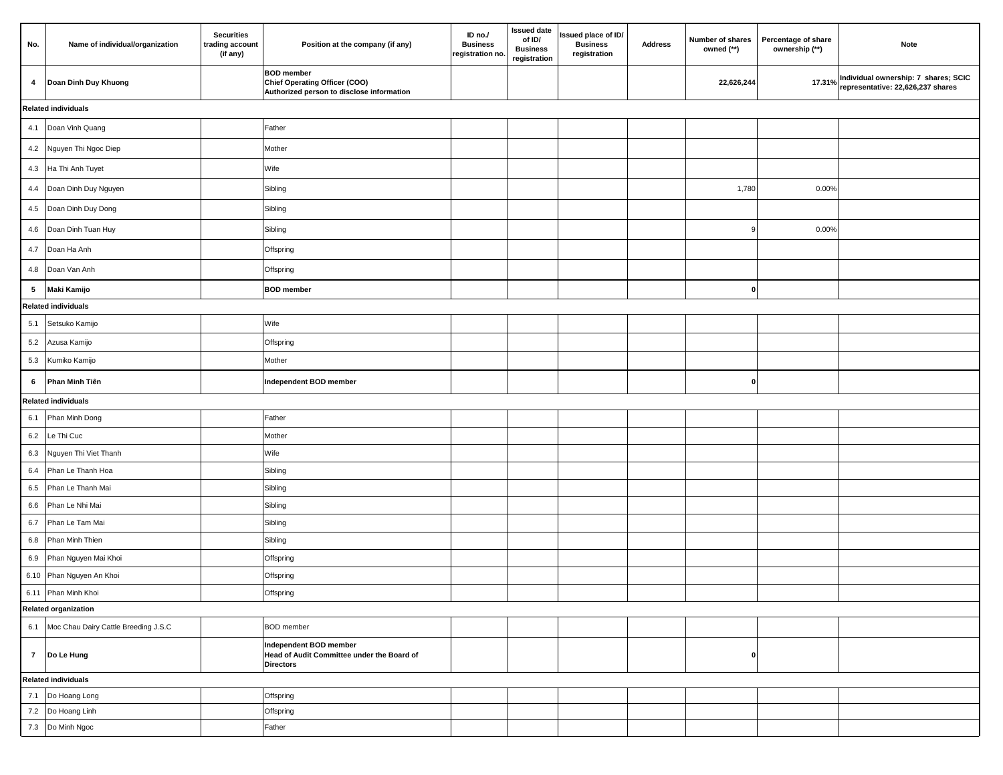| No.             | Name of individual/organization          | <b>Securities</b><br>trading account<br>(if any) | Position at the company (if any)                                                                | ID no./<br><b>Business</b><br>registration no | <b>Issued date</b><br>of ID/<br><b>Business</b><br>registration | Issued place of ID/<br><b>Business</b><br>registration | Number of shares<br><b>Address</b><br>owned (**) | Percentage of share<br>ownership (**) | <b>Note</b>                                                               |
|-----------------|------------------------------------------|--------------------------------------------------|-------------------------------------------------------------------------------------------------|-----------------------------------------------|-----------------------------------------------------------------|--------------------------------------------------------|--------------------------------------------------|---------------------------------------|---------------------------------------------------------------------------|
| $\overline{a}$  | Doan Dinh Duy Khuong                     |                                                  | <b>BOD</b> member<br>Chief Operating Officer (COO)<br>Authorized person to disclose information |                                               |                                                                 |                                                        | 22,626,244                                       | 17.31%                                | Individual ownership: 7 shares; SCIC<br>representative: 22,626,237 shares |
|                 | <b>Related individuals</b>               |                                                  |                                                                                                 |                                               |                                                                 |                                                        |                                                  |                                       |                                                                           |
|                 | 4.1 Doan Vinh Quang                      |                                                  | Father                                                                                          |                                               |                                                                 |                                                        |                                                  |                                       |                                                                           |
| 4.2             | Nguyen Thi Ngoc Diep                     |                                                  | Mother                                                                                          |                                               |                                                                 |                                                        |                                                  |                                       |                                                                           |
|                 | 4.3 Ha Thi Anh Tuyet                     |                                                  | Wife                                                                                            |                                               |                                                                 |                                                        |                                                  |                                       |                                                                           |
|                 | 4.4 Doan Dinh Duy Nguyen                 |                                                  | Sibling                                                                                         |                                               |                                                                 |                                                        | 1,780                                            | 0.00%                                 |                                                                           |
| 4.5             | Doan Dinh Duy Dong                       |                                                  | Sibling                                                                                         |                                               |                                                                 |                                                        |                                                  |                                       |                                                                           |
| 4.6             | Doan Dinh Tuan Huy                       |                                                  | Sibling                                                                                         |                                               |                                                                 |                                                        |                                                  | 0.00%                                 |                                                                           |
| 4.7             | Doan Ha Anh                              |                                                  | Offspring                                                                                       |                                               |                                                                 |                                                        |                                                  |                                       |                                                                           |
| 4.8             | Doan Van Anh                             |                                                  | Offspring                                                                                       |                                               |                                                                 |                                                        |                                                  |                                       |                                                                           |
| $5\overline{ }$ | <b>Maki Kamijo</b>                       |                                                  | <b>BOD</b> member                                                                               |                                               |                                                                 |                                                        | 0                                                |                                       |                                                                           |
|                 | <b>Related individuals</b>               |                                                  |                                                                                                 |                                               |                                                                 |                                                        |                                                  |                                       |                                                                           |
| 5.1             | Setsuko Kamijo                           |                                                  | Wife                                                                                            |                                               |                                                                 |                                                        |                                                  |                                       |                                                                           |
|                 | 5.2 Azusa Kamijo                         |                                                  | Offspring                                                                                       |                                               |                                                                 |                                                        |                                                  |                                       |                                                                           |
| 5.3             | Kumiko Kamijo                            |                                                  | Mother                                                                                          |                                               |                                                                 |                                                        |                                                  |                                       |                                                                           |
| 6               | Phan Minh Tiên                           |                                                  | Independent BOD member                                                                          |                                               |                                                                 |                                                        | o                                                |                                       |                                                                           |
|                 | <b>Related individuals</b>               |                                                  |                                                                                                 |                                               |                                                                 |                                                        |                                                  |                                       |                                                                           |
| 6.1             | Phan Minh Dong                           |                                                  | Father                                                                                          |                                               |                                                                 |                                                        |                                                  |                                       |                                                                           |
| 6.2             | Le Thi Cuc                               |                                                  | Mother                                                                                          |                                               |                                                                 |                                                        |                                                  |                                       |                                                                           |
| 6.3             | Nguyen Thi Viet Thanh                    |                                                  | Wife                                                                                            |                                               |                                                                 |                                                        |                                                  |                                       |                                                                           |
| 6.4             | Phan Le Thanh Hoa                        |                                                  | Sibling                                                                                         |                                               |                                                                 |                                                        |                                                  |                                       |                                                                           |
| 6.5             | Phan Le Thanh Mai                        |                                                  | Sibling                                                                                         |                                               |                                                                 |                                                        |                                                  |                                       |                                                                           |
| 6.6             | Phan Le Nhi Mai                          |                                                  | Sibling                                                                                         |                                               |                                                                 |                                                        |                                                  |                                       |                                                                           |
| 6.7             | Phan Le Tam Mai                          |                                                  | Sibling                                                                                         |                                               |                                                                 |                                                        |                                                  |                                       |                                                                           |
| 6.8             | Phan Minh Thien                          |                                                  | Sibling                                                                                         |                                               |                                                                 |                                                        |                                                  |                                       |                                                                           |
| 6.9             | Phan Nguyen Mai Khoi                     |                                                  | Offspring                                                                                       |                                               |                                                                 |                                                        |                                                  |                                       |                                                                           |
|                 | 6.10 Phan Nguyen An Khoi                 |                                                  | Offspring                                                                                       |                                               |                                                                 |                                                        |                                                  |                                       |                                                                           |
|                 | 6.11 Phan Minh Khoi                      |                                                  | Offspring                                                                                       |                                               |                                                                 |                                                        |                                                  |                                       |                                                                           |
|                 | <b>Related organization</b>              |                                                  |                                                                                                 |                                               |                                                                 |                                                        |                                                  |                                       |                                                                           |
|                 | 6.1 Moc Chau Dairy Cattle Breeding J.S.C |                                                  | <b>BOD</b> member                                                                               |                                               |                                                                 |                                                        |                                                  |                                       |                                                                           |
|                 | 7 Do Le Hung                             |                                                  | Independent BOD member<br>Head of Audit Committee under the Board of<br><b>Directors</b>        |                                               |                                                                 |                                                        | 0                                                |                                       |                                                                           |
|                 | <b>Related individuals</b>               |                                                  |                                                                                                 |                                               |                                                                 |                                                        |                                                  |                                       |                                                                           |
|                 | 7.1 Do Hoang Long                        |                                                  | Offspring                                                                                       |                                               |                                                                 |                                                        |                                                  |                                       |                                                                           |
|                 | 7.2 Do Hoang Linh                        |                                                  | Offspring                                                                                       |                                               |                                                                 |                                                        |                                                  |                                       |                                                                           |
|                 | 7.3 Do Minh Ngoc                         |                                                  | Father                                                                                          |                                               |                                                                 |                                                        |                                                  |                                       |                                                                           |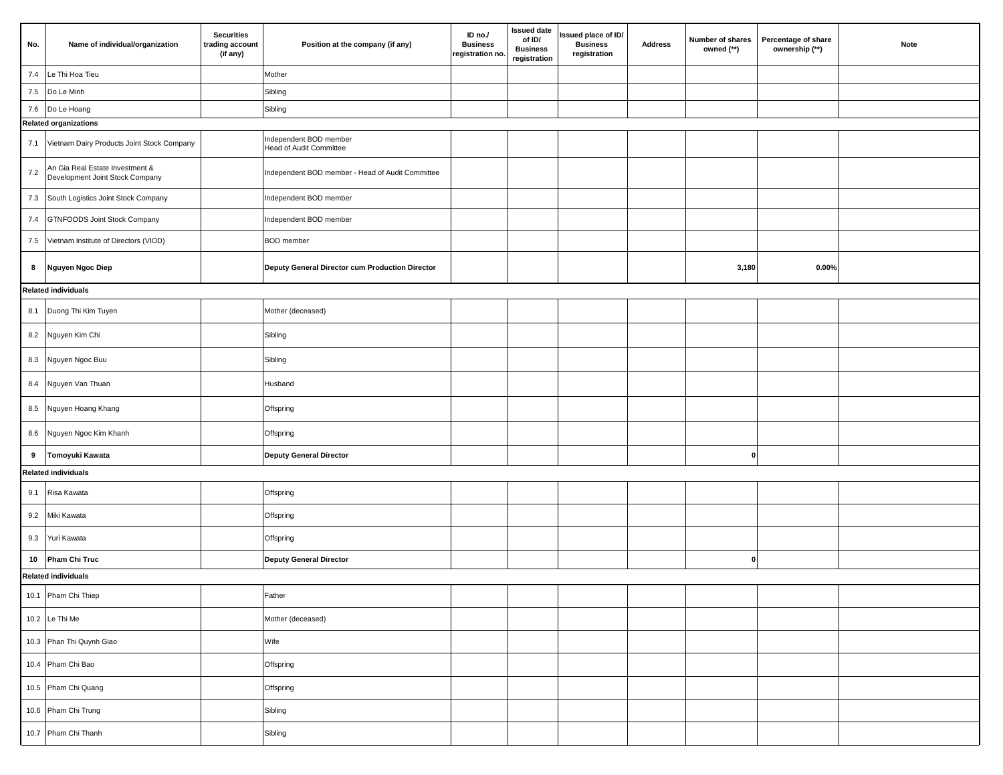| No.     | Name of individual/organization                                    | <b>Securities</b><br>trading account<br>(if any) | Position at the company (if any)                         | ID no./<br><b>Business</b><br>registration no. | <b>Issued date</b><br>of ID/<br><b>Business</b><br>registration | Issued place of ID/<br><b>Business</b><br>registration | <b>Address</b> | Percentage of share<br>Number of shares<br>owned (**)<br>ownership (**) | Note |
|---------|--------------------------------------------------------------------|--------------------------------------------------|----------------------------------------------------------|------------------------------------------------|-----------------------------------------------------------------|--------------------------------------------------------|----------------|-------------------------------------------------------------------------|------|
| 7.4     | Le Thi Hoa Tieu                                                    |                                                  | Mother                                                   |                                                |                                                                 |                                                        |                |                                                                         |      |
| 7.5     | Do Le Minh                                                         |                                                  | Sibling                                                  |                                                |                                                                 |                                                        |                |                                                                         |      |
|         | 7.6 Do Le Hoang                                                    |                                                  | Sibling                                                  |                                                |                                                                 |                                                        |                |                                                                         |      |
|         | <b>Related organizations</b>                                       |                                                  |                                                          |                                                |                                                                 |                                                        |                |                                                                         |      |
|         | 7.1 Vietnam Dairy Products Joint Stock Company                     |                                                  | Independent BOD member<br><b>Head of Audit Committee</b> |                                                |                                                                 |                                                        |                |                                                                         |      |
| $7.2\,$ | An Gia Real Estate Investment &<br>Development Joint Stock Company |                                                  | Independent BOD member - Head of Audit Committee         |                                                |                                                                 |                                                        |                |                                                                         |      |
| $7.3$   | South Logistics Joint Stock Company                                |                                                  | Independent BOD member                                   |                                                |                                                                 |                                                        |                |                                                                         |      |
| 7.4     | <b>GTNFOODS Joint Stock Company</b>                                |                                                  | Independent BOD member                                   |                                                |                                                                 |                                                        |                |                                                                         |      |
| $7.5\,$ | Vietnam Institute of Directors (VIOD)                              |                                                  | <b>BOD</b> member                                        |                                                |                                                                 |                                                        |                |                                                                         |      |
| 8       | <b>Nguyen Ngoc Diep</b>                                            |                                                  | Deputy General Director cum Production Director          |                                                |                                                                 |                                                        |                | 3,180<br>$0.00\%$                                                       |      |
|         | <b>Related individuals</b>                                         |                                                  |                                                          |                                                |                                                                 |                                                        |                |                                                                         |      |
|         | 8.1 Duong Thi Kim Tuyen                                            |                                                  | Mother (deceased)                                        |                                                |                                                                 |                                                        |                |                                                                         |      |
|         | 8.2 Nguyen Kim Chi                                                 |                                                  | Sibling                                                  |                                                |                                                                 |                                                        |                |                                                                         |      |
|         | 8.3 Nguyen Ngoc Buu                                                |                                                  | Sibling                                                  |                                                |                                                                 |                                                        |                |                                                                         |      |
| 8.4     | Nguyen Van Thuan                                                   |                                                  | Husband                                                  |                                                |                                                                 |                                                        |                |                                                                         |      |
|         | 8.5 Nguyen Hoang Khang                                             |                                                  | Offspring                                                |                                                |                                                                 |                                                        |                |                                                                         |      |
| 8.6     | Nguyen Ngoc Kim Khanh                                              |                                                  | Offspring                                                |                                                |                                                                 |                                                        |                |                                                                         |      |
| 9       | Tomoyuki Kawata                                                    |                                                  | <b>Deputy General Director</b>                           |                                                |                                                                 |                                                        |                | 0                                                                       |      |
|         | <b>Related individuals</b>                                         |                                                  |                                                          |                                                |                                                                 |                                                        |                |                                                                         |      |
| 9.1     | Risa Kawata                                                        |                                                  | Offspring                                                |                                                |                                                                 |                                                        |                |                                                                         |      |
| 9.2     | Miki Kawata                                                        |                                                  | Offspring                                                |                                                |                                                                 |                                                        |                |                                                                         |      |
| 9.3     | Yuri Kawata                                                        |                                                  | Offspring                                                |                                                |                                                                 |                                                        |                |                                                                         |      |
| 10      | <b>Pham Chi Truc</b>                                               |                                                  | <b>Deputy General Director</b>                           |                                                |                                                                 |                                                        |                | $\mathbf 0$                                                             |      |
|         | <b>Related individuals</b>                                         |                                                  |                                                          |                                                |                                                                 |                                                        |                |                                                                         |      |
|         | 10.1 Pham Chi Thiep                                                |                                                  | Father                                                   |                                                |                                                                 |                                                        |                |                                                                         |      |
|         | 10.2 Le Thi Me                                                     |                                                  | Mother (deceased)                                        |                                                |                                                                 |                                                        |                |                                                                         |      |
|         | 10.3 Phan Thi Quynh Giao                                           |                                                  | Wife                                                     |                                                |                                                                 |                                                        |                |                                                                         |      |
|         | 10.4 Pham Chi Bao                                                  |                                                  | Offspring                                                |                                                |                                                                 |                                                        |                |                                                                         |      |
|         | 10.5 Pham Chi Quang                                                |                                                  | Offspring                                                |                                                |                                                                 |                                                        |                |                                                                         |      |
|         | 10.6 Pham Chi Trung                                                |                                                  | Sibling                                                  |                                                |                                                                 |                                                        |                |                                                                         |      |
|         | 10.7 Pham Chi Thanh                                                |                                                  | Sibling                                                  |                                                |                                                                 |                                                        |                |                                                                         |      |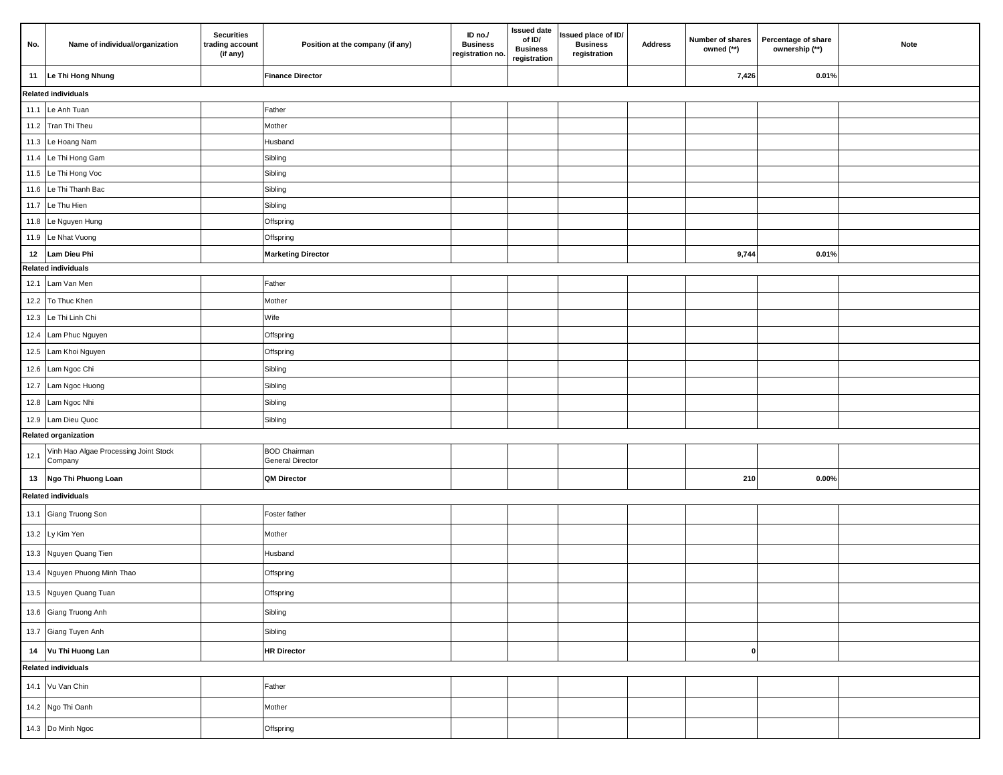| No.  | Name of individual/organization                  | <b>Securities</b><br>trading account<br>(if any) | Position at the company (if any)               | ID no./<br><b>Business</b><br>registration no. | <b>Issued date</b><br>of ID/<br><b>Business</b><br>registration | Issued place of ID/<br><b>Business</b><br>registration | <b>Address</b> | Number of shares<br>owned (**) | Percentage of share<br>ownership (**) | Note |
|------|--------------------------------------------------|--------------------------------------------------|------------------------------------------------|------------------------------------------------|-----------------------------------------------------------------|--------------------------------------------------------|----------------|--------------------------------|---------------------------------------|------|
| 11   | Le Thi Hong Nhung                                |                                                  | <b>Finance Director</b>                        |                                                |                                                                 |                                                        |                | 7,426                          | 0.01%                                 |      |
|      | <b>Related individuals</b>                       |                                                  |                                                |                                                |                                                                 |                                                        |                |                                |                                       |      |
|      | 11.1 Le Anh Tuan                                 |                                                  | Father                                         |                                                |                                                                 |                                                        |                |                                |                                       |      |
|      | 11.2 Tran Thi Theu                               |                                                  | Mother                                         |                                                |                                                                 |                                                        |                |                                |                                       |      |
|      | 11.3 Le Hoang Nam                                |                                                  | Husband                                        |                                                |                                                                 |                                                        |                |                                |                                       |      |
|      | 11.4 Le Thi Hong Gam                             |                                                  | Sibling                                        |                                                |                                                                 |                                                        |                |                                |                                       |      |
|      | 11.5 Le Thi Hong Voc                             |                                                  | Sibling                                        |                                                |                                                                 |                                                        |                |                                |                                       |      |
|      | 11.6 Le Thi Thanh Bac                            |                                                  | Sibling                                        |                                                |                                                                 |                                                        |                |                                |                                       |      |
|      | 11.7 Le Thu Hien                                 |                                                  | Sibling                                        |                                                |                                                                 |                                                        |                |                                |                                       |      |
|      | 11.8 Le Nguyen Hung                              |                                                  | Offspring                                      |                                                |                                                                 |                                                        |                |                                |                                       |      |
|      | 11.9 Le Nhat Vuong                               |                                                  | Offspring                                      |                                                |                                                                 |                                                        |                |                                |                                       |      |
| 12   | Lam Dieu Phi                                     |                                                  | <b>Marketing Director</b>                      |                                                |                                                                 |                                                        |                | 9,744                          | 0.01%                                 |      |
|      | <b>Related individuals</b>                       |                                                  |                                                |                                                |                                                                 |                                                        |                |                                |                                       |      |
| 12.1 | Lam Van Men                                      |                                                  | Father                                         |                                                |                                                                 |                                                        |                |                                |                                       |      |
|      | 12.2 To Thuc Khen                                |                                                  | Mother                                         |                                                |                                                                 |                                                        |                |                                |                                       |      |
|      | 12.3 Le Thi Linh Chi                             |                                                  | Wife                                           |                                                |                                                                 |                                                        |                |                                |                                       |      |
|      | 12.4 Lam Phuc Nguyen                             |                                                  | Offspring                                      |                                                |                                                                 |                                                        |                |                                |                                       |      |
|      | 12.5 Lam Khoi Nguyen                             |                                                  | Offspring                                      |                                                |                                                                 |                                                        |                |                                |                                       |      |
|      | 12.6 Lam Ngoc Chi                                |                                                  | Sibling                                        |                                                |                                                                 |                                                        |                |                                |                                       |      |
|      | 12.7 Lam Ngoc Huong                              |                                                  | Sibling                                        |                                                |                                                                 |                                                        |                |                                |                                       |      |
|      | 12.8 Lam Ngoc Nhi                                |                                                  | Sibling                                        |                                                |                                                                 |                                                        |                |                                |                                       |      |
|      | 12.9 Lam Dieu Quoc                               |                                                  | Sibling                                        |                                                |                                                                 |                                                        |                |                                |                                       |      |
|      | <b>Related organization</b>                      |                                                  |                                                |                                                |                                                                 |                                                        |                |                                |                                       |      |
| 12.1 | Vinh Hao Algae Processing Joint Stock<br>Company |                                                  | <b>BOD Chairman</b><br><b>General Director</b> |                                                |                                                                 |                                                        |                |                                |                                       |      |
| 13   | Ngo Thi Phuong Loan                              |                                                  | <b>QM Director</b>                             |                                                |                                                                 |                                                        |                | 210                            | $0.00\%$                              |      |
|      | <b>Related individuals</b>                       |                                                  |                                                |                                                |                                                                 |                                                        |                |                                |                                       |      |
|      | 13.1 Giang Truong Son                            |                                                  | Foster father                                  |                                                |                                                                 |                                                        |                |                                |                                       |      |
|      | 13.2 Ly Kim Yen                                  |                                                  | Mother                                         |                                                |                                                                 |                                                        |                |                                |                                       |      |
|      | 13.3 Nguyen Quang Tien                           |                                                  | Husband                                        |                                                |                                                                 |                                                        |                |                                |                                       |      |
|      | 13.4 Nguyen Phuong Minh Thao                     |                                                  | Offspring                                      |                                                |                                                                 |                                                        |                |                                |                                       |      |
|      | 13.5 Nguyen Quang Tuan                           |                                                  | Offspring                                      |                                                |                                                                 |                                                        |                |                                |                                       |      |
|      | 13.6 Giang Truong Anh                            |                                                  | Sibling                                        |                                                |                                                                 |                                                        |                |                                |                                       |      |
|      | 13.7 Giang Tuyen Anh                             |                                                  | Sibling                                        |                                                |                                                                 |                                                        |                |                                |                                       |      |
|      | 14 Vu Thi Huong Lan                              |                                                  | <b>HR Director</b>                             |                                                |                                                                 |                                                        |                | 0                              |                                       |      |
|      | <b>Related individuals</b>                       |                                                  |                                                |                                                |                                                                 |                                                        |                |                                |                                       |      |
|      | 14.1 Vu Van Chin                                 |                                                  | Father                                         |                                                |                                                                 |                                                        |                |                                |                                       |      |
|      | 14.2 Ngo Thi Oanh                                |                                                  | Mother                                         |                                                |                                                                 |                                                        |                |                                |                                       |      |
|      | 14.3 Do Minh Ngoc                                |                                                  | Offspring                                      |                                                |                                                                 |                                                        |                |                                |                                       |      |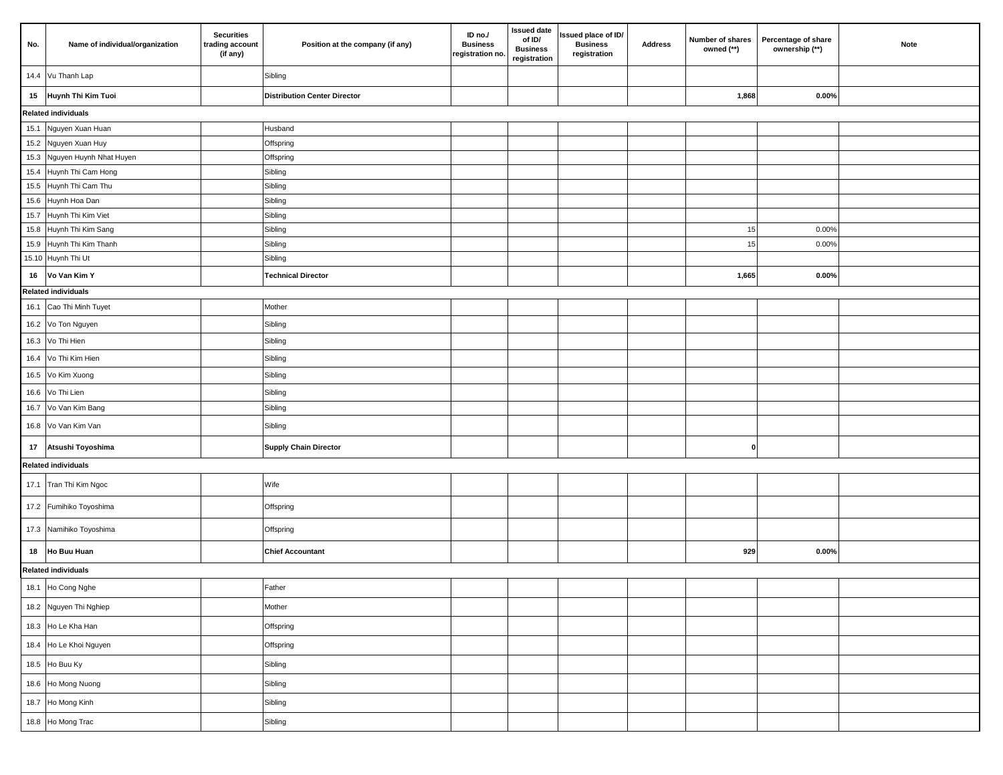| No.  | Name of individual/organization              | <b>Securities</b><br>trading account<br>(if any) | Position at the company (if any)    | ID no./<br><b>Business</b><br>registration no. | <b>Issued date</b><br>of ID/<br><b>Business</b><br>registration | Issued place of ID/<br><b>Business</b><br>registration | <b>Address</b> | Number of shares<br>owned (**) | Percentage of share<br>ownership (**) | <b>Note</b> |
|------|----------------------------------------------|--------------------------------------------------|-------------------------------------|------------------------------------------------|-----------------------------------------------------------------|--------------------------------------------------------|----------------|--------------------------------|---------------------------------------|-------------|
|      | 14.4 Vu Thanh Lap                            |                                                  | Sibling                             |                                                |                                                                 |                                                        |                |                                |                                       |             |
| 15   | Huynh Thi Kim Tuoi                           |                                                  | <b>Distribution Center Director</b> |                                                |                                                                 |                                                        |                | 1,868                          | 0.00%                                 |             |
|      | <b>Related individuals</b>                   |                                                  |                                     |                                                |                                                                 |                                                        |                |                                |                                       |             |
|      | 15.1 Nguyen Xuan Huan                        |                                                  | Husband                             |                                                |                                                                 |                                                        |                |                                |                                       |             |
|      | 15.2 Nguyen Xuan Huy                         |                                                  | Offspring                           |                                                |                                                                 |                                                        |                |                                |                                       |             |
|      | 15.3 Nguyen Huynh Nhat Huyen                 |                                                  | Offspring                           |                                                |                                                                 |                                                        |                |                                |                                       |             |
|      | 15.4 Huynh Thi Cam Hong                      |                                                  | Sibling                             |                                                |                                                                 |                                                        |                |                                |                                       |             |
|      | 15.5 Huynh Thi Cam Thu<br>15.6 Huynh Hoa Dan |                                                  | Sibling<br>Sibling                  |                                                |                                                                 |                                                        |                |                                |                                       |             |
| 15.7 | Huynh Thi Kim Viet                           |                                                  | Sibling                             |                                                |                                                                 |                                                        |                |                                |                                       |             |
|      | 15.8 Huynh Thi Kim Sang                      |                                                  | Sibling                             |                                                |                                                                 |                                                        |                | 15                             | 0.00%                                 |             |
|      | 15.9 Huynh Thi Kim Thanh                     |                                                  | Sibling                             |                                                |                                                                 |                                                        |                | 15                             | 0.00%                                 |             |
|      | 15.10 Huynh Thi Ut                           |                                                  | Sibling                             |                                                |                                                                 |                                                        |                |                                |                                       |             |
| 16   | Vo Van Kim Y                                 |                                                  | <b>Technical Director</b>           |                                                |                                                                 |                                                        |                | 1,665                          | $0.00\%$                              |             |
|      | <b>Related individuals</b>                   |                                                  |                                     |                                                |                                                                 |                                                        |                |                                |                                       |             |
|      | 16.1 Cao Thi Minh Tuyet                      |                                                  | Mother                              |                                                |                                                                 |                                                        |                |                                |                                       |             |
|      | 16.2 Vo Ton Nguyen                           |                                                  | Sibling                             |                                                |                                                                 |                                                        |                |                                |                                       |             |
|      | 16.3 Vo Thi Hien                             |                                                  | Sibling                             |                                                |                                                                 |                                                        |                |                                |                                       |             |
|      | 16.4 Vo Thi Kim Hien                         |                                                  | Sibling                             |                                                |                                                                 |                                                        |                |                                |                                       |             |
|      | 16.5 Vo Kim Xuong                            |                                                  | Sibling                             |                                                |                                                                 |                                                        |                |                                |                                       |             |
|      | 16.6 Vo Thi Lien                             |                                                  | Sibling                             |                                                |                                                                 |                                                        |                |                                |                                       |             |
|      | 16.7 Vo Van Kim Bang                         |                                                  | Sibling                             |                                                |                                                                 |                                                        |                |                                |                                       |             |
|      | 16.8 Vo Van Kim Van                          |                                                  | Sibling                             |                                                |                                                                 |                                                        |                |                                |                                       |             |
| 17   | Atsushi Toyoshima                            |                                                  | <b>Supply Chain Director</b>        |                                                |                                                                 |                                                        |                | $\mathbf{0}$                   |                                       |             |
|      | <b>Related individuals</b>                   |                                                  |                                     |                                                |                                                                 |                                                        |                |                                |                                       |             |
|      | 17.1 Tran Thi Kim Ngoc                       |                                                  | Wife                                |                                                |                                                                 |                                                        |                |                                |                                       |             |
|      | 17.2 Fumihiko Toyoshima                      |                                                  | Offspring                           |                                                |                                                                 |                                                        |                |                                |                                       |             |
|      | 17.3 Namihiko Toyoshima                      |                                                  | Offspring                           |                                                |                                                                 |                                                        |                |                                |                                       |             |
| 18   | <b>Ho Buu Huan</b>                           |                                                  | <b>Chief Accountant</b>             |                                                |                                                                 |                                                        |                | 929                            | $0.00\%$                              |             |
|      | <b>Related individuals</b>                   |                                                  |                                     |                                                |                                                                 |                                                        |                |                                |                                       |             |
|      | 18.1 Ho Cong Nghe                            |                                                  | Father                              |                                                |                                                                 |                                                        |                |                                |                                       |             |
|      | 18.2 Nguyen Thi Nghiep                       |                                                  | Mother                              |                                                |                                                                 |                                                        |                |                                |                                       |             |
|      | 18.3 Ho Le Kha Han                           |                                                  | Offspring                           |                                                |                                                                 |                                                        |                |                                |                                       |             |
|      | 18.4 Ho Le Khoi Nguyen                       |                                                  | Offspring                           |                                                |                                                                 |                                                        |                |                                |                                       |             |
|      | 18.5 Ho Buu Ky                               |                                                  | Sibling                             |                                                |                                                                 |                                                        |                |                                |                                       |             |
|      | 18.6 Ho Mong Nuong                           |                                                  | Sibling                             |                                                |                                                                 |                                                        |                |                                |                                       |             |
|      | 18.7 Ho Mong Kinh                            |                                                  | Sibling                             |                                                |                                                                 |                                                        |                |                                |                                       |             |
|      | 18.8 Ho Mong Trac                            |                                                  | Sibling                             |                                                |                                                                 |                                                        |                |                                |                                       |             |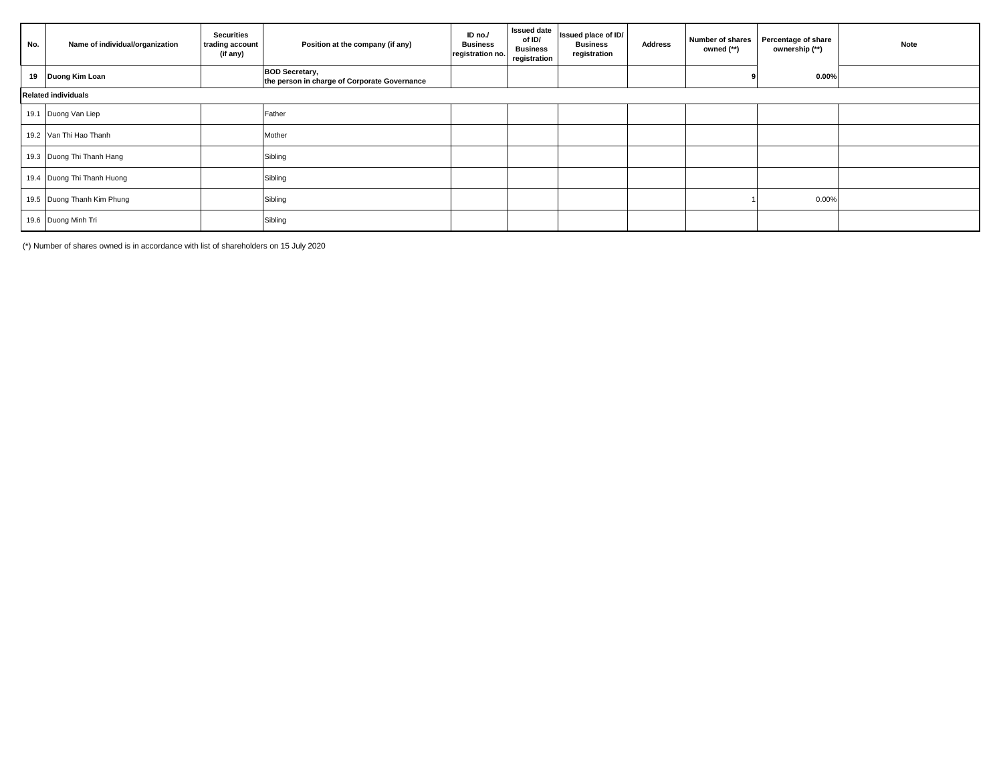| No.                        | Name of individual/organization | <b>Securities</b><br>trading account<br>(if any) | Position at the company (if any)                                      | ID no./<br><b>Business</b><br>registration no. | <b>Issued date</b><br>of ID/<br><b>Business</b><br>registration | Issued place of ID/<br><b>Business</b><br>registration | <b>Address</b> | Number of shares<br>owned (**) | Percentage of share<br>ownership (**) | <b>Note</b> |
|----------------------------|---------------------------------|--------------------------------------------------|-----------------------------------------------------------------------|------------------------------------------------|-----------------------------------------------------------------|--------------------------------------------------------|----------------|--------------------------------|---------------------------------------|-------------|
|                            | 19 Duong Kim Loan               |                                                  | <b>BOD Secretary,</b><br>the person in charge of Corporate Governance |                                                |                                                                 |                                                        |                |                                | $0.00\%$                              |             |
| <b>Related individuals</b> |                                 |                                                  |                                                                       |                                                |                                                                 |                                                        |                |                                |                                       |             |
|                            | 19.1 Duong Van Liep             |                                                  | Father                                                                |                                                |                                                                 |                                                        |                |                                |                                       |             |
|                            | 19.2 Van Thi Hao Thanh          |                                                  | Mother                                                                |                                                |                                                                 |                                                        |                |                                |                                       |             |
|                            | 19.3 Duong Thi Thanh Hang       |                                                  | Sibling                                                               |                                                |                                                                 |                                                        |                |                                |                                       |             |
|                            | 19.4 Duong Thi Thanh Huong      |                                                  | Sibling                                                               |                                                |                                                                 |                                                        |                |                                |                                       |             |
|                            | 19.5 Duong Thanh Kim Phung      |                                                  | Sibling                                                               |                                                |                                                                 |                                                        |                |                                | 0.00%                                 |             |
|                            | 19.6 Duong Minh Tri             |                                                  | Sibling                                                               |                                                |                                                                 |                                                        |                |                                |                                       |             |

(\*) Number of shares owned is in accordance with list of shareholders on 15 July 2020